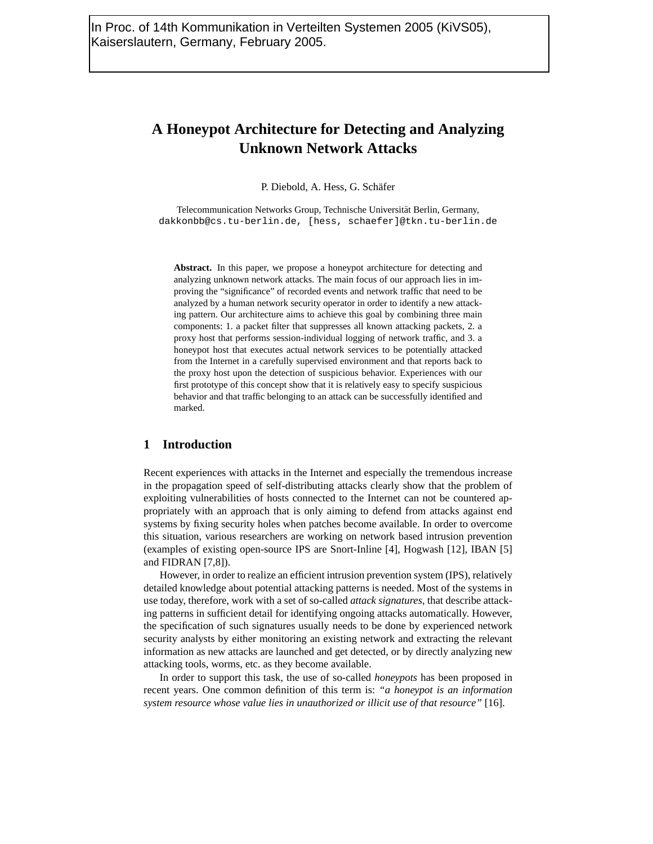# **A Honeypot Architecture for Detecting and Analyzing Unknown Network Attacks**

P. Diebold, A. Hess, G. Schäfer

Telecommunication Networks Group, Technische Universität Berlin, Germany, dakkonbb@cs.tu-berlin.de, [hess, schaefer]@tkn.tu-berlin.de

**Abstract.** In this paper, we propose a honeypot architecture for detecting and analyzing unknown network attacks. The main focus of our approach lies in improving the "significance" of recorded events and network traffic that need to be analyzed by a human network security operator in order to identify a new attacking pattern. Our architecture aims to achieve this goal by combining three main components: 1. a packet filter that suppresses all known attacking packets, 2. a proxy host that performs session-individual logging of network traffic, and 3. a honeypot host that executes actual network services to be potentially attacked from the Internet in a carefully supervised environment and that reports back to the proxy host upon the detection of suspicious behavior. Experiences with our first prototype of this concept show that it is relatively easy to specify suspicious behavior and that traffic belonging to an attack can be successfully identified and marked.

# **1 Introduction**

Recent experiences with attacks in the Internet and especially the tremendous increase in the propagation speed of self-distributing attacks clearly show that the problem of exploiting vulnerabilities of hosts connected to the Internet can not be countered appropriately with an approach that is only aiming to defend from attacks against end systems by fixing security holes when patches become available. In order to overcome this situation, various researchers are working on network based intrusion prevention (examples of existing open-source IPS are Snort-Inline [4], Hogwash [12], IBAN [5] and FIDRAN [7,8]).

However, in order to realize an efficient intrusion prevention system (IPS), relatively detailed knowledge about potential attacking patterns is needed. Most of the systems in use today, therefore, work with a set of so-called *attack signatures*, that describe attacking patterns in sufficient detail for identifying ongoing attacks automatically. However, the specification of such signatures usually needs to be done by experienced network security analysts by either monitoring an existing network and extracting the relevant information as new attacks are launched and get detected, or by directly analyzing new attacking tools, worms, etc. as they become available.

In order to support this task, the use of so-called *honeypots* has been proposed in recent years. One common definition of this term is: *"a honeypot is an information system resource whose value lies in unauthorized or illicit use of that resource"* [16].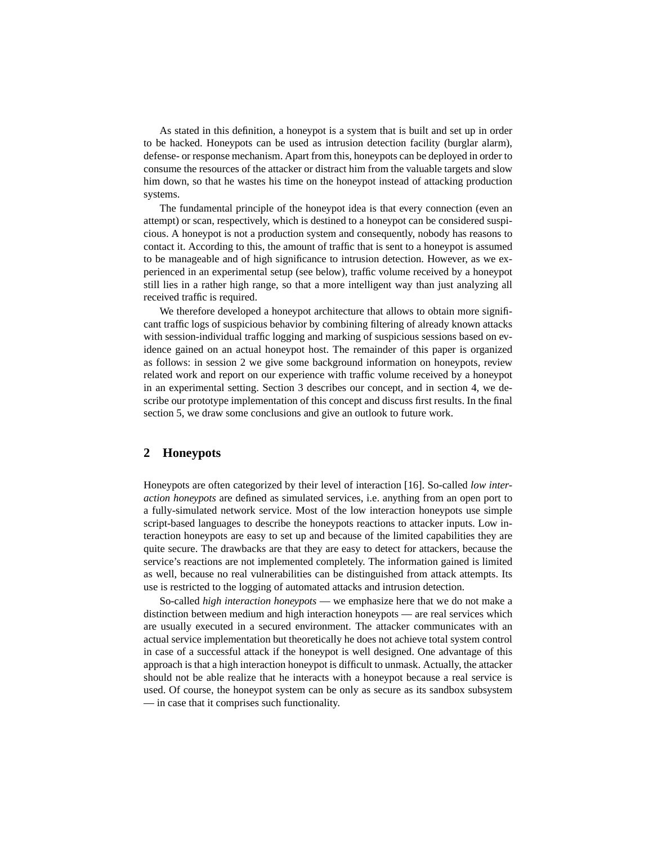As stated in this definition, a honeypot is a system that is built and set up in order to be hacked. Honeypots can be used as intrusion detection facility (burglar alarm), defense- or response mechanism. Apart from this, honeypots can be deployed in order to consume the resources of the attacker or distract him from the valuable targets and slow him down, so that he wastes his time on the honeypot instead of attacking production systems.

The fundamental principle of the honeypot idea is that every connection (even an attempt) or scan, respectively, which is destined to a honeypot can be considered suspicious. A honeypot is not a production system and consequently, nobody has reasons to contact it. According to this, the amount of traffic that is sent to a honeypot is assumed to be manageable and of high significance to intrusion detection. However, as we experienced in an experimental setup (see below), traffic volume received by a honeypot still lies in a rather high range, so that a more intelligent way than just analyzing all received traffic is required.

We therefore developed a honeypot architecture that allows to obtain more significant traffic logs of suspicious behavior by combining filtering of already known attacks with session-individual traffic logging and marking of suspicious sessions based on evidence gained on an actual honeypot host. The remainder of this paper is organized as follows: in session 2 we give some background information on honeypots, review related work and report on our experience with traffic volume received by a honeypot in an experimental setting. Section 3 describes our concept, and in section 4, we describe our prototype implementation of this concept and discuss first results. In the final section 5, we draw some conclusions and give an outlook to future work.

### **2 Honeypots**

Honeypots are often categorized by their level of interaction [16]. So-called *low interaction honeypots* are defined as simulated services, i.e. anything from an open port to a fully-simulated network service. Most of the low interaction honeypots use simple script-based languages to describe the honeypots reactions to attacker inputs. Low interaction honeypots are easy to set up and because of the limited capabilities they are quite secure. The drawbacks are that they are easy to detect for attackers, because the service's reactions are not implemented completely. The information gained is limited as well, because no real vulnerabilities can be distinguished from attack attempts. Its use is restricted to the logging of automated attacks and intrusion detection.

So-called *high interaction honeypots* — we emphasize here that we do not make a distinction between medium and high interaction honeypots — are real services which are usually executed in a secured environment. The attacker communicates with an actual service implementation but theoretically he does not achieve total system control in case of a successful attack if the honeypot is well designed. One advantage of this approach is that a high interaction honeypot is difficult to unmask. Actually, the attacker should not be able realize that he interacts with a honeypot because a real service is used. Of course, the honeypot system can be only as secure as its sandbox subsystem — in case that it comprises such functionality.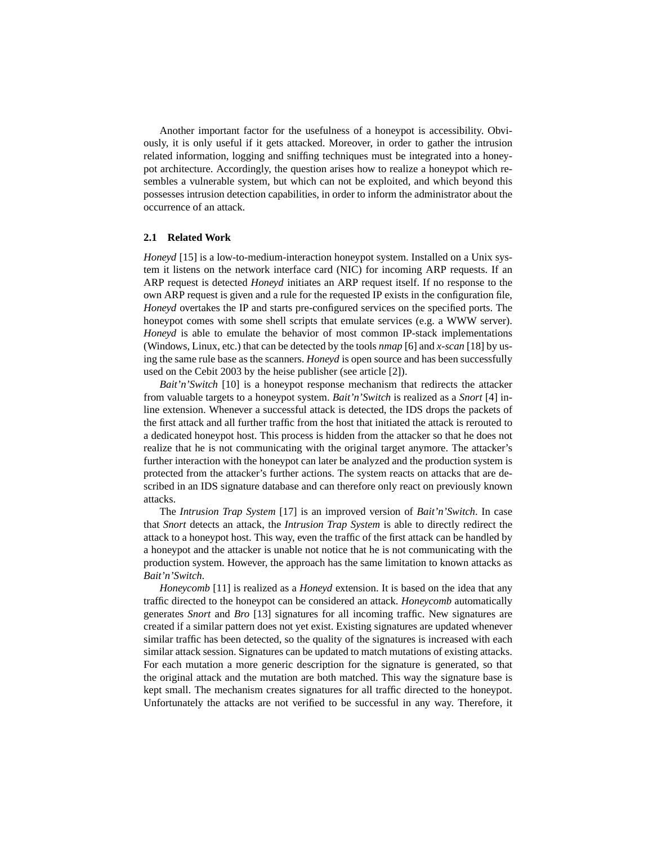Another important factor for the usefulness of a honeypot is accessibility. Obviously, it is only useful if it gets attacked. Moreover, in order to gather the intrusion related information, logging and sniffing techniques must be integrated into a honeypot architecture. Accordingly, the question arises how to realize a honeypot which resembles a vulnerable system, but which can not be exploited, and which beyond this possesses intrusion detection capabilities, in order to inform the administrator about the occurrence of an attack.

#### **2.1 Related Work**

*Honeyd* [15] is a low-to-medium-interaction honeypot system. Installed on a Unix system it listens on the network interface card (NIC) for incoming ARP requests. If an ARP request is detected *Honeyd* initiates an ARP request itself. If no response to the own ARP request is given and a rule for the requested IP exists in the configuration file, *Honeyd* overtakes the IP and starts pre-configured services on the specified ports. The honeypot comes with some shell scripts that emulate services (e.g. a WWW server). *Honeyd* is able to emulate the behavior of most common IP-stack implementations (Windows, Linux, etc.) that can be detected by the tools *nmap* [6] and *x-scan* [18] by using the same rule base as the scanners. *Honeyd* is open source and has been successfully used on the Cebit 2003 by the heise publisher (see article [2]).

*Bait'n'Switch* [10] is a honeypot response mechanism that redirects the attacker from valuable targets to a honeypot system. *Bait'n'Switch* is realized as a *Snort* [4] inline extension. Whenever a successful attack is detected, the IDS drops the packets of the first attack and all further traffic from the host that initiated the attack is rerouted to a dedicated honeypot host. This process is hidden from the attacker so that he does not realize that he is not communicating with the original target anymore. The attacker's further interaction with the honeypot can later be analyzed and the production system is protected from the attacker's further actions. The system reacts on attacks that are described in an IDS signature database and can therefore only react on previously known attacks.

The *Intrusion Trap System* [17] is an improved version of *Bait'n'Switch*. In case that *Snort* detects an attack, the *Intrusion Trap System* is able to directly redirect the attack to a honeypot host. This way, even the traffic of the first attack can be handled by a honeypot and the attacker is unable not notice that he is not communicating with the production system. However, the approach has the same limitation to known attacks as *Bait'n'Switch*.

*Honeycomb* [11] is realized as a *Honeyd* extension. It is based on the idea that any traffic directed to the honeypot can be considered an attack. *Honeycomb* automatically generates *Snort* and *Bro* [13] signatures for all incoming traffic. New signatures are created if a similar pattern does not yet exist. Existing signatures are updated whenever similar traffic has been detected, so the quality of the signatures is increased with each similar attack session. Signatures can be updated to match mutations of existing attacks. For each mutation a more generic description for the signature is generated, so that the original attack and the mutation are both matched. This way the signature base is kept small. The mechanism creates signatures for all traffic directed to the honeypot. Unfortunately the attacks are not verified to be successful in any way. Therefore, it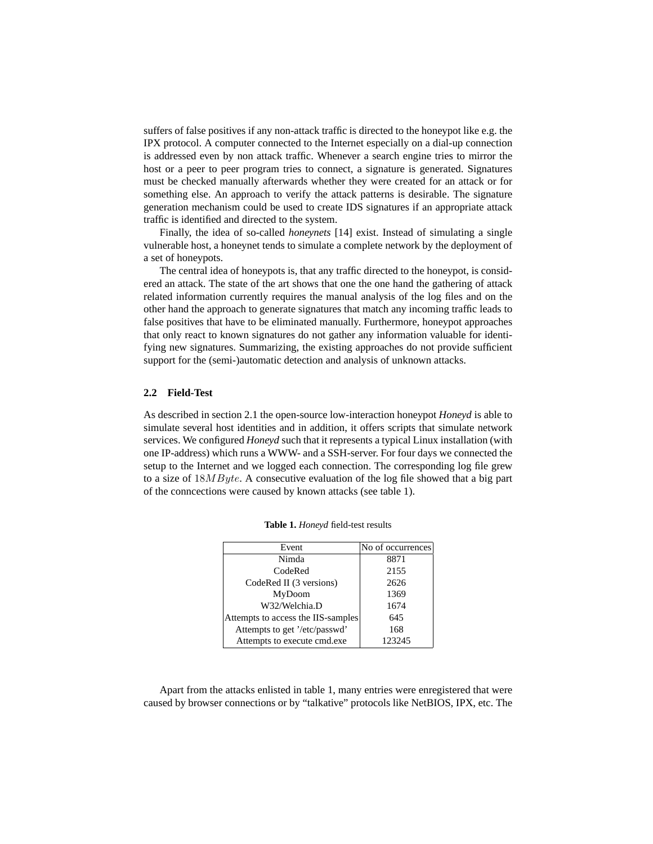suffers of false positives if any non-attack traffic is directed to the honeypot like e.g. the IPX protocol. A computer connected to the Internet especially on a dial-up connection is addressed even by non attack traffic. Whenever a search engine tries to mirror the host or a peer to peer program tries to connect, a signature is generated. Signatures must be checked manually afterwards whether they were created for an attack or for something else. An approach to verify the attack patterns is desirable. The signature generation mechanism could be used to create IDS signatures if an appropriate attack traffic is identified and directed to the system.

Finally, the idea of so-called *honeynets* [14] exist. Instead of simulating a single vulnerable host, a honeynet tends to simulate a complete network by the deployment of a set of honeypots.

The central idea of honeypots is, that any traffic directed to the honeypot, is considered an attack. The state of the art shows that one the one hand the gathering of attack related information currently requires the manual analysis of the log files and on the other hand the approach to generate signatures that match any incoming traffic leads to false positives that have to be eliminated manually. Furthermore, honeypot approaches that only react to known signatures do not gather any information valuable for identifying new signatures. Summarizing, the existing approaches do not provide sufficient support for the (semi-)automatic detection and analysis of unknown attacks.

#### **2.2 Field-Test**

As described in section 2.1 the open-source low-interaction honeypot *Honeyd* is able to simulate several host identities and in addition, it offers scripts that simulate network services. We configured *Honeyd* such that it represents a typical Linux installation (with one IP-address) which runs a WWW- and a SSH-server. For four days we connected the setup to the Internet and we logged each connection. The corresponding log file grew to a size of  $18MB$ yte. A consecutive evaluation of the log file showed that a big part of the conncections were caused by known attacks (see table 1).

| Event                              | No of occurrences |
|------------------------------------|-------------------|
| Nimda                              | 8871              |
| CodeRed                            | 2155              |
| CodeRed II (3 versions)            | 2626              |
| MyDoom                             | 1369              |
| W32/Welchia.D                      | 1674              |
| Attempts to access the IIS-samples | 645               |
| Attempts to get '/etc/passwd'      | 168               |
| Attempts to execute cmd.exe        | 123245            |

**Table 1.** *Honeyd* field-test results

Apart from the attacks enlisted in table 1, many entries were enregistered that were caused by browser connections or by "talkative" protocols like NetBIOS, IPX, etc. The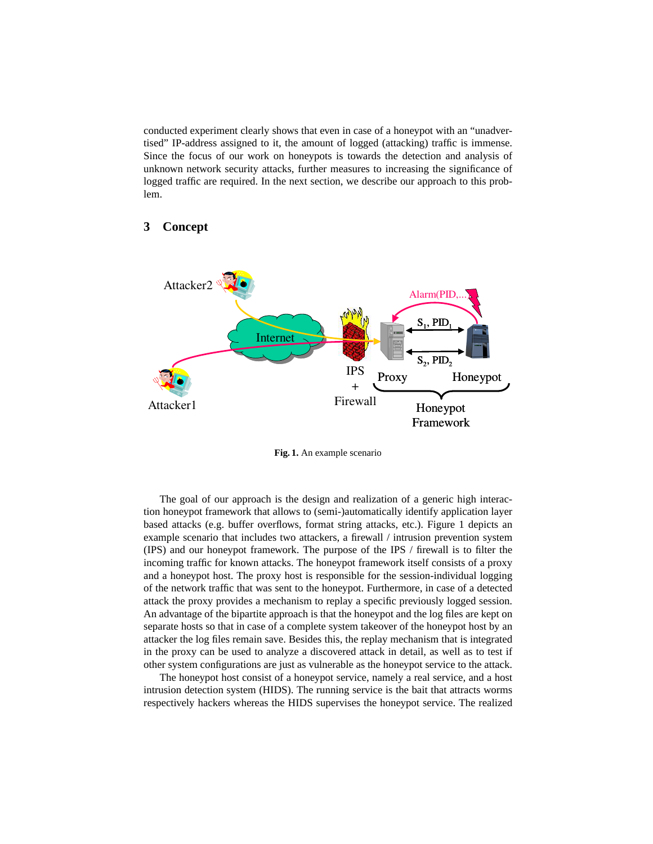conducted experiment clearly shows that even in case of a honeypot with an "unadvertised" IP-address assigned to it, the amount of logged (attacking) traffic is immense. Since the focus of our work on honeypots is towards the detection and analysis of unknown network security attacks, further measures to increasing the significance of logged traffic are required. In the next section, we describe our approach to this problem.

### **3 Concept**



**Fig. 1.** An example scenario

The goal of our approach is the design and realization of a generic high interaction honeypot framework that allows to (semi-)automatically identify application layer based attacks (e.g. buffer overflows, format string attacks, etc.). Figure 1 depicts an example scenario that includes two attackers, a firewall / intrusion prevention system (IPS) and our honeypot framework. The purpose of the IPS / firewall is to filter the incoming traffic for known attacks. The honeypot framework itself consists of a proxy and a honeypot host. The proxy host is responsible for the session-individual logging of the network traffic that was sent to the honeypot. Furthermore, in case of a detected attack the proxy provides a mechanism to replay a specific previously logged session. An advantage of the bipartite approach is that the honeypot and the log files are kept on separate hosts so that in case of a complete system takeover of the honeypot host by an attacker the log files remain save. Besides this, the replay mechanism that is integrated in the proxy can be used to analyze a discovered attack in detail, as well as to test if other system configurations are just as vulnerable as the honeypot service to the attack.

The honeypot host consist of a honeypot service, namely a real service, and a host intrusion detection system (HIDS). The running service is the bait that attracts worms respectively hackers whereas the HIDS supervises the honeypot service. The realized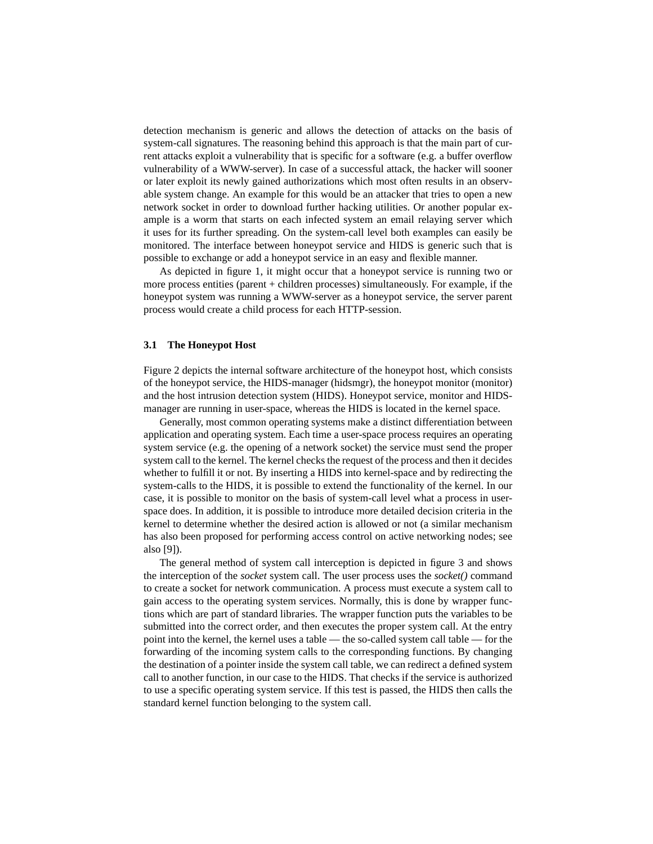detection mechanism is generic and allows the detection of attacks on the basis of system-call signatures. The reasoning behind this approach is that the main part of current attacks exploit a vulnerability that is specific for a software (e.g. a buffer overflow vulnerability of a WWW-server). In case of a successful attack, the hacker will sooner or later exploit its newly gained authorizations which most often results in an observable system change. An example for this would be an attacker that tries to open a new network socket in order to download further hacking utilities. Or another popular example is a worm that starts on each infected system an email relaying server which it uses for its further spreading. On the system-call level both examples can easily be monitored. The interface between honeypot service and HIDS is generic such that is possible to exchange or add a honeypot service in an easy and flexible manner.

As depicted in figure 1, it might occur that a honeypot service is running two or more process entities (parent + children processes) simultaneously. For example, if the honeypot system was running a WWW-server as a honeypot service, the server parent process would create a child process for each HTTP-session.

#### **3.1 The Honeypot Host**

Figure 2 depicts the internal software architecture of the honeypot host, which consists of the honeypot service, the HIDS-manager (hidsmgr), the honeypot monitor (monitor) and the host intrusion detection system (HIDS). Honeypot service, monitor and HIDSmanager are running in user-space, whereas the HIDS is located in the kernel space.

Generally, most common operating systems make a distinct differentiation between application and operating system. Each time a user-space process requires an operating system service (e.g. the opening of a network socket) the service must send the proper system call to the kernel. The kernel checks the request of the process and then it decides whether to fulfill it or not. By inserting a HIDS into kernel-space and by redirecting the system-calls to the HIDS, it is possible to extend the functionality of the kernel. In our case, it is possible to monitor on the basis of system-call level what a process in userspace does. In addition, it is possible to introduce more detailed decision criteria in the kernel to determine whether the desired action is allowed or not (a similar mechanism has also been proposed for performing access control on active networking nodes; see also [9]).

The general method of system call interception is depicted in figure 3 and shows the interception of the *socket* system call. The user process uses the *socket()* command to create a socket for network communication. A process must execute a system call to gain access to the operating system services. Normally, this is done by wrapper functions which are part of standard libraries. The wrapper function puts the variables to be submitted into the correct order, and then executes the proper system call. At the entry point into the kernel, the kernel uses a table — the so-called system call table — for the forwarding of the incoming system calls to the corresponding functions. By changing the destination of a pointer inside the system call table, we can redirect a defined system call to another function, in our case to the HIDS. That checks if the service is authorized to use a specific operating system service. If this test is passed, the HIDS then calls the standard kernel function belonging to the system call.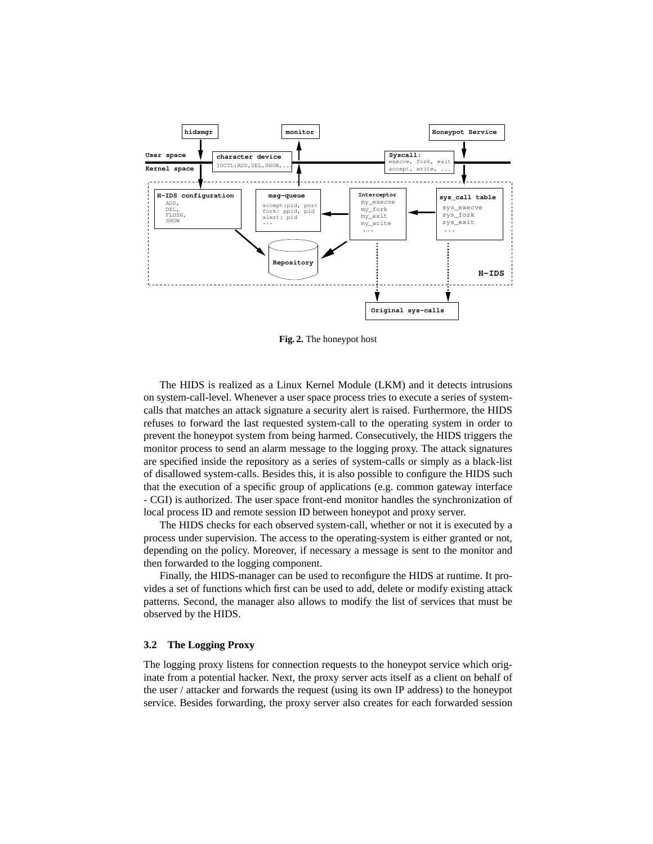

**Fig. 2.** The honeypot host

The HIDS is realized as a Linux Kernel Module (LKM) and it detects intrusions on system-call-level. Whenever a user space process tries to execute a series of systemcalls that matches an attack signature a security alert is raised. Furthermore, the HIDS refuses to forward the last requested system-call to the operating system in order to prevent the honeypot system from being harmed. Consecutively, the HIDS triggers the monitor process to send an alarm message to the logging proxy. The attack signatures are specified inside the repository as a series of system-calls or simply as a black-list of disallowed system-calls. Besides this, it is also possible to configure the HIDS such that the execution of a specific group of applications (e.g. common gateway interface - CGI) is authorized. The user space front-end monitor handles the synchronization of local process ID and remote session ID between honeypot and proxy server.

The HIDS checks for each observed system-call, whether or not it is executed by a process under supervision. The access to the operating-system is either granted or not, depending on the policy. Moreover, if necessary a message is sent to the monitor and then forwarded to the logging component.

Finally, the HIDS-manager can be used to reconfigure the HIDS at runtime. It provides a set of functions which first can be used to add, delete or modify existing attack patterns. Second, the manager also allows to modify the list of services that must be observed by the HIDS.

#### **3.2 The Logging Proxy**

The logging proxy listens for connection requests to the honeypot service which originate from a potential hacker. Next, the proxy server acts itself as a client on behalf of the user / attacker and forwards the request (using its own IP address) to the honeypot service. Besides forwarding, the proxy server also creates for each forwarded session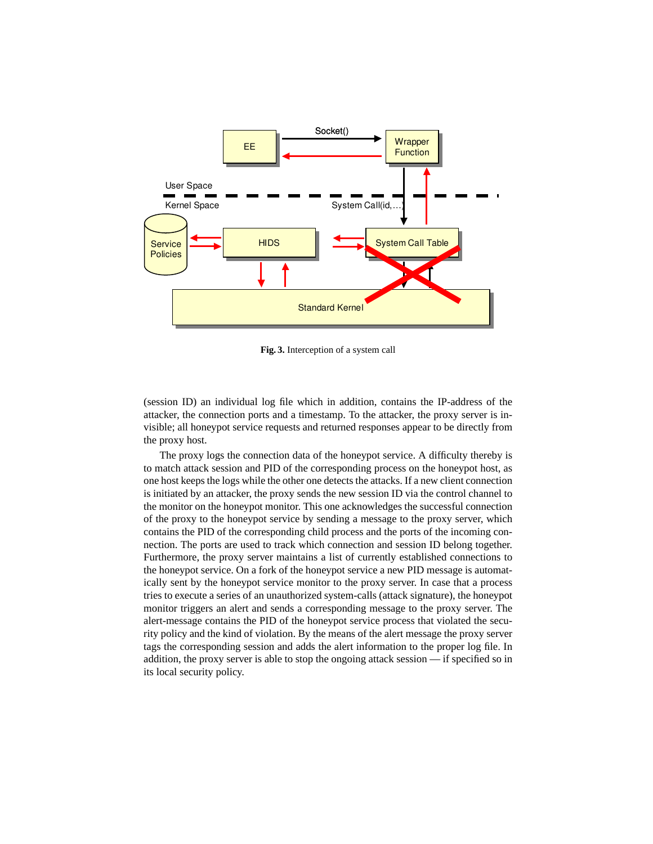

**Fig. 3.** Interception of a system call

(session ID) an individual log file which in addition, contains the IP-address of the attacker, the connection ports and a timestamp. To the attacker, the proxy server is invisible; all honeypot service requests and returned responses appear to be directly from the proxy host.

The proxy logs the connection data of the honeypot service. A difficulty thereby is to match attack session and PID of the corresponding process on the honeypot host, as one host keeps the logs while the other one detects the attacks. If a new client connection is initiated by an attacker, the proxy sends the new session ID via the control channel to the monitor on the honeypot monitor. This one acknowledges the successful connection of the proxy to the honeypot service by sending a message to the proxy server, which contains the PID of the corresponding child process and the ports of the incoming connection. The ports are used to track which connection and session ID belong together. Furthermore, the proxy server maintains a list of currently established connections to the honeypot service. On a fork of the honeypot service a new PID message is automatically sent by the honeypot service monitor to the proxy server. In case that a process tries to execute a series of an unauthorized system-calls (attack signature), the honeypot monitor triggers an alert and sends a corresponding message to the proxy server. The alert-message contains the PID of the honeypot service process that violated the security policy and the kind of violation. By the means of the alert message the proxy server tags the corresponding session and adds the alert information to the proper log file. In addition, the proxy server is able to stop the ongoing attack session — if specified so in its local security policy.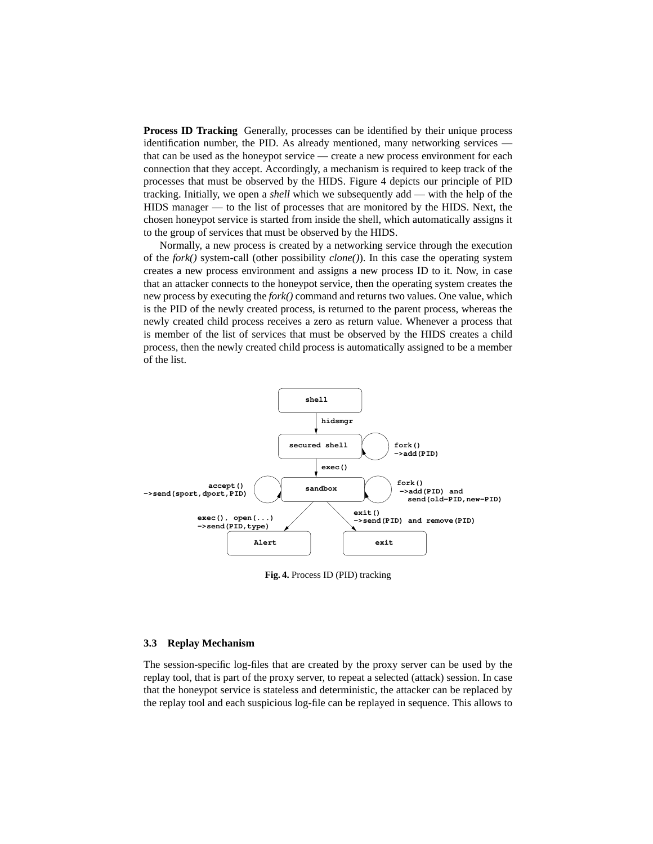**Process ID Tracking** Generally, processes can be identified by their unique process identification number, the PID. As already mentioned, many networking services that can be used as the honeypot service — create a new process environment for each connection that they accept. Accordingly, a mechanism is required to keep track of the processes that must be observed by the HIDS. Figure 4 depicts our principle of PID tracking. Initially, we open a *shell* which we subsequently add — with the help of the HIDS manager — to the list of processes that are monitored by the HIDS. Next, the chosen honeypot service is started from inside the shell, which automatically assigns it to the group of services that must be observed by the HIDS.

Normally, a new process is created by a networking service through the execution of the *fork()* system-call (other possibility *clone()*). In this case the operating system creates a new process environment and assigns a new process ID to it. Now, in case that an attacker connects to the honeypot service, then the operating system creates the new process by executing the *fork()* command and returns two values. One value, which is the PID of the newly created process, is returned to the parent process, whereas the newly created child process receives a zero as return value. Whenever a process that is member of the list of services that must be observed by the HIDS creates a child process, then the newly created child process is automatically assigned to be a member of the list.



**Fig. 4.** Process ID (PID) tracking

#### **3.3 Replay Mechanism**

The session-specific log-files that are created by the proxy server can be used by the replay tool, that is part of the proxy server, to repeat a selected (attack) session. In case that the honeypot service is stateless and deterministic, the attacker can be replaced by the replay tool and each suspicious log-file can be replayed in sequence. This allows to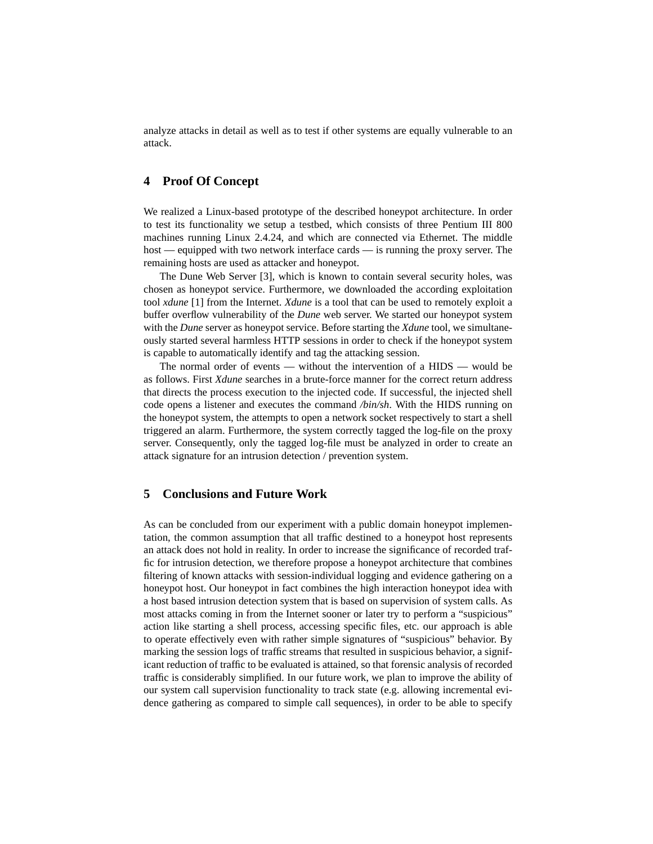analyze attacks in detail as well as to test if other systems are equally vulnerable to an attack.

# **4 Proof Of Concept**

We realized a Linux-based prototype of the described honeypot architecture. In order to test its functionality we setup a testbed, which consists of three Pentium III 800 machines running Linux 2.4.24, and which are connected via Ethernet. The middle host — equipped with two network interface cards — is running the proxy server. The remaining hosts are used as attacker and honeypot.

The Dune Web Server [3], which is known to contain several security holes, was chosen as honeypot service. Furthermore, we downloaded the according exploitation tool *xdune* [1] from the Internet. *Xdune* is a tool that can be used to remotely exploit a buffer overflow vulnerability of the *Dune* web server. We started our honeypot system with the *Dune* server as honeypot service. Before starting the *Xdune* tool, we simultaneously started several harmless HTTP sessions in order to check if the honeypot system is capable to automatically identify and tag the attacking session.

The normal order of events — without the intervention of a HIDS — would be as follows. First *Xdune* searches in a brute-force manner for the correct return address that directs the process execution to the injected code. If successful, the injected shell code opens a listener and executes the command */bin/sh*. With the HIDS running on the honeypot system, the attempts to open a network socket respectively to start a shell triggered an alarm. Furthermore, the system correctly tagged the log-file on the proxy server. Consequently, only the tagged log-file must be analyzed in order to create an attack signature for an intrusion detection / prevention system.

### **5 Conclusions and Future Work**

As can be concluded from our experiment with a public domain honeypot implementation, the common assumption that all traffic destined to a honeypot host represents an attack does not hold in reality. In order to increase the significance of recorded traffic for intrusion detection, we therefore propose a honeypot architecture that combines filtering of known attacks with session-individual logging and evidence gathering on a honeypot host. Our honeypot in fact combines the high interaction honeypot idea with a host based intrusion detection system that is based on supervision of system calls. As most attacks coming in from the Internet sooner or later try to perform a "suspicious" action like starting a shell process, accessing specific files, etc. our approach is able to operate effectively even with rather simple signatures of "suspicious" behavior. By marking the session logs of traffic streams that resulted in suspicious behavior, a significant reduction of traffic to be evaluated is attained, so that forensic analysis of recorded traffic is considerably simplified. In our future work, we plan to improve the ability of our system call supervision functionality to track state (e.g. allowing incremental evidence gathering as compared to simple call sequences), in order to be able to specify